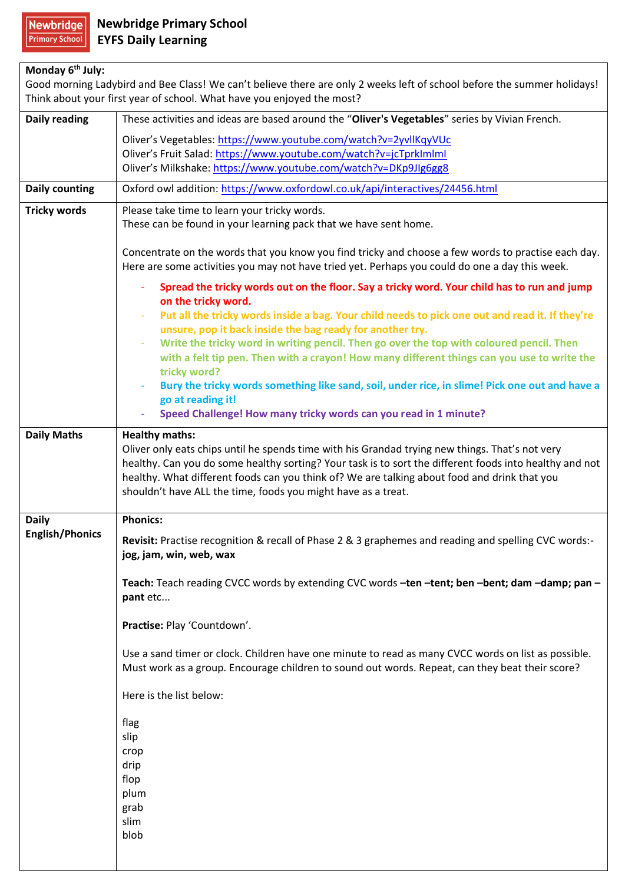## **Monday 6th July:**

Good morning Ladybird and Bee Class! We can't believe there are only 2 weeks left of school before the summer holidays! Think about your first year of school. What have you enjoyed the most?

| <b>Daily reading</b>   | These activities and ideas are based around the "Oliver's Vegetables" series by Vivian French.                                                                                                          |
|------------------------|---------------------------------------------------------------------------------------------------------------------------------------------------------------------------------------------------------|
|                        | Oliver's Vegetables: https://www.youtube.com/watch?v=2yvllKqyVUc                                                                                                                                        |
|                        | Oliver's Fruit Salad: https://www.youtube.com/watch?v=jcTprkImlml                                                                                                                                       |
|                        | Oliver's Milkshake: https://www.youtube.com/watch?v=DKp9JIg6gg8                                                                                                                                         |
| <b>Daily counting</b>  | Oxford owl addition: https://www.oxfordowl.co.uk/api/interactives/24456.html                                                                                                                            |
| <b>Tricky words</b>    | Please take time to learn your tricky words.                                                                                                                                                            |
|                        | These can be found in your learning pack that we have sent home.                                                                                                                                        |
|                        | Concentrate on the words that you know you find tricky and choose a few words to practise each day.<br>Here are some activities you may not have tried yet. Perhaps you could do one a day this week.   |
|                        | Spread the tricky words out on the floor. Say a tricky word. Your child has to run and jump<br>on the tricky word.                                                                                      |
|                        | Put all the tricky words inside a bag. Your child needs to pick one out and read it. If they're<br>unsure, pop it back inside the bag ready for another try.                                            |
|                        | Write the tricky word in writing pencil. Then go over the top with coloured pencil. Then                                                                                                                |
|                        | with a felt tip pen. Then with a crayon! How many different things can you use to write the<br>tricky word?                                                                                             |
|                        | Bury the tricky words something like sand, soil, under rice, in slime! Pick one out and have a                                                                                                          |
|                        | go at reading it!                                                                                                                                                                                       |
|                        | Speed Challenge! How many tricky words can you read in 1 minute?                                                                                                                                        |
| <b>Daily Maths</b>     | <b>Healthy maths:</b>                                                                                                                                                                                   |
|                        | Oliver only eats chips until he spends time with his Grandad trying new things. That's not very                                                                                                         |
|                        | healthy. Can you do some healthy sorting? Your task is to sort the different foods into healthy and not<br>healthy. What different foods can you think of? We are talking about food and drink that you |
|                        | shouldn't have ALL the time, foods you might have as a treat.                                                                                                                                           |
|                        |                                                                                                                                                                                                         |
| <b>Daily</b>           | <b>Phonics:</b>                                                                                                                                                                                         |
| <b>English/Phonics</b> | Revisit: Practise recognition & recall of Phase 2 & 3 graphemes and reading and spelling CVC words:-<br>jog, jam, win, web, wax                                                                         |
|                        | Teach: Teach reading CVCC words by extending CVC words -ten -tent; ben -bent; dam -damp; pan -                                                                                                          |
|                        | pant etc                                                                                                                                                                                                |
|                        | Practise: Play 'Countdown'.                                                                                                                                                                             |
|                        |                                                                                                                                                                                                         |
|                        | Use a sand timer or clock. Children have one minute to read as many CVCC words on list as possible.<br>Must work as a group. Encourage children to sound out words. Repeat, can they beat their score?  |
|                        | Here is the list below:                                                                                                                                                                                 |
|                        | flag                                                                                                                                                                                                    |
|                        | slip                                                                                                                                                                                                    |
|                        | crop                                                                                                                                                                                                    |
|                        | drip                                                                                                                                                                                                    |
|                        | flop<br>plum                                                                                                                                                                                            |
|                        | grab                                                                                                                                                                                                    |
|                        | slim                                                                                                                                                                                                    |
|                        | blob                                                                                                                                                                                                    |
|                        |                                                                                                                                                                                                         |